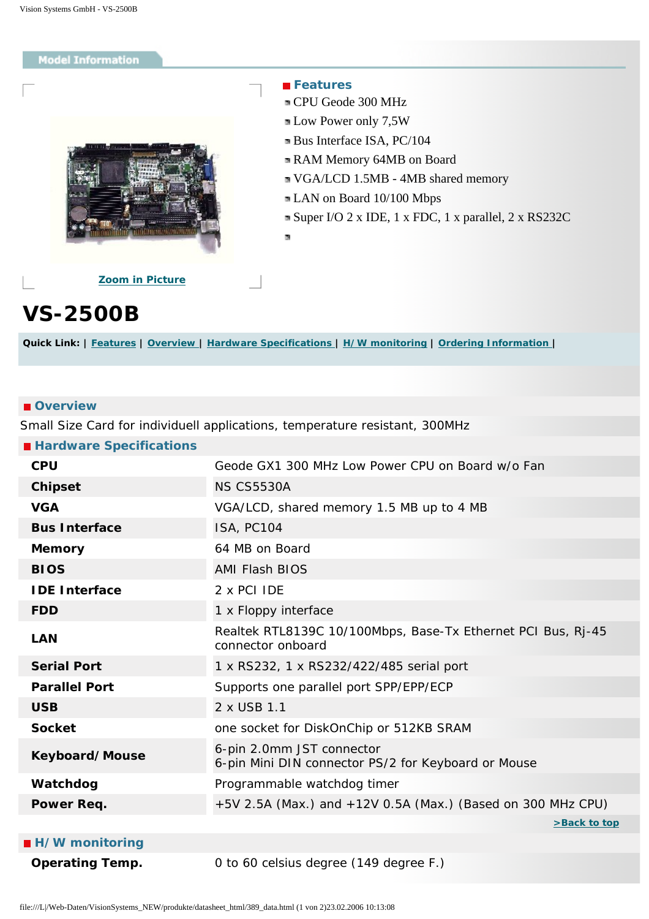### <span id="page-0-4"></span><span id="page-0-0"></span>**Model Information**



### **Features**

- CPU Geode 300 MHz
- **Low Power only 7,5W**
- Bus Interface ISA, PC/104
- RAM Memory 64MB on Board
- VGA/LCD 1.5MB 4MB shared memory
- LAN on Board 10/100 Mbps
- Super I/O 2 x IDE, 1 x FDC, 1 x parallel, 2 x RS232C
- ×

**[Zoom in Picture](#page-1-0)**

# **VS-2500B**

**Quick Link: | [Features](#page-0-0) | [Overview](#page-0-1) | [Hardware Specifications](#page-0-2) | [H/W monitoring](#page-0-3) | [Ordering Information](#page-1-1) |**

#### <span id="page-0-1"></span>*<u>D*Overview</u>

Small Size Card for individuell applications, temperature resistant, 300MHz

<span id="page-0-2"></span>

| Geode GX1 300 MHz Low Power CPU on Board w/o Fan                                  |
|-----------------------------------------------------------------------------------|
| <b>NS CS5530A</b>                                                                 |
| VGA/LCD, shared memory 1.5 MB up to 4 MB                                          |
| <b>ISA, PC104</b>                                                                 |
| 64 MB on Board                                                                    |
| <b>AMI Flash BIOS</b>                                                             |
| 2 x PCI IDE                                                                       |
| 1 x Floppy interface                                                              |
| Realtek RTL8139C 10/100Mbps, Base-Tx Ethernet PCI Bus, Rj-45<br>connector onboard |
| 1 x RS232, 1 x RS232/422/485 serial port                                          |
| Supports one parallel port SPP/EPP/ECP                                            |
| 2 x USB 1.1                                                                       |
| one socket for DiskOnChip or 512KB SRAM                                           |
| 6-pin 2.0mm JST connector<br>6-pin Mini DIN connector PS/2 for Keyboard or Mouse  |
| Programmable watchdog timer                                                       |
| $+5V$ 2.5A (Max.) and $+12V$ 0.5A (Max.) (Based on 300 MHz CPU)                   |
| >Back to top                                                                      |
|                                                                                   |

<span id="page-0-3"></span>

| ■ H/W monitoring |  |  |  |
|------------------|--|--|--|
|------------------|--|--|--|

**Operating Temp.** 0 to 60 celsius degree (149 degree F.)